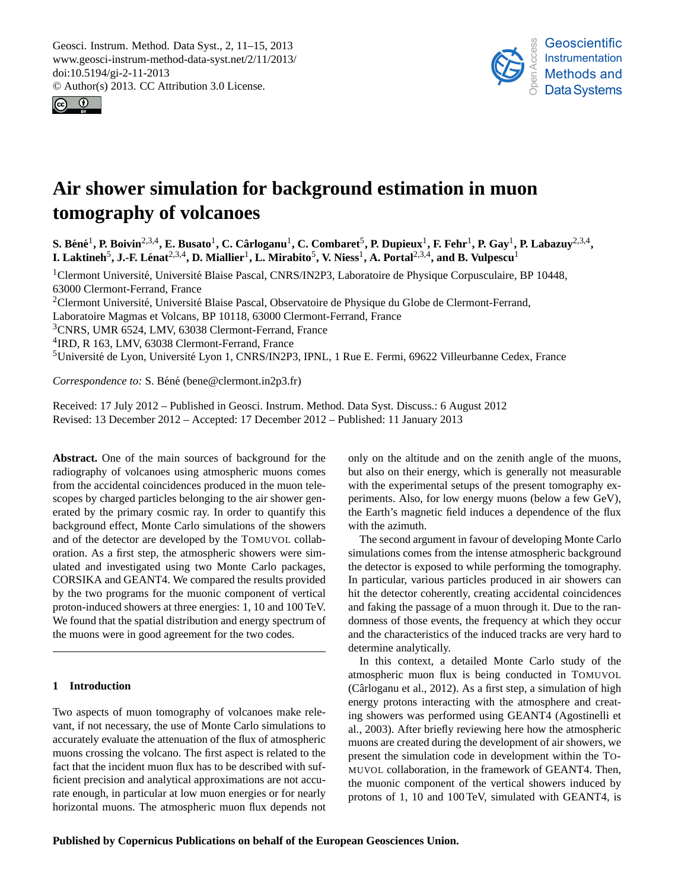<span id="page-0-0"></span>Geosci. Instrum. Method. Data Syst., 2, 11–15, 2013 www.geosci-instrum-method-data-syst.net/2/11/2013/ doi:10.5194/gi-2-11-2013 © Author(s) 2013. CC Attribution 3.0 License.





# **Air shower simulation for background estimation in muon tomography of volcanoes**

 ${\bf S.~B\acute{e}n}\acute{e}^1$ ,  ${\bf P.~B}$ oivin $^{2,3,4}$ ,  ${\bf E.~B}$ usato $^1$ ,  ${\bf C.~C\hat{a}r}$ loganu $^1$ ,  ${\bf C.~C}$ ombaret $^5$ ,  ${\bf P.~D}$ upieux $^1$ ,  ${\bf F.~F}$ ehr $^1$ ,  ${\bf P.~Gay}^1$ ,  ${\bf P.~L}$ abazuy $^{2,3,4}$ ,  ${\bf I. Laktineh}^5, {\bf J.-F. Lénat}^{2,3,4}, {\bf D. Miallier}^1, {\bf L. Mirabito}^5, {\bf V. Niess}^1, {\bf A. Portal}^{2,3,4},$  and  ${\bf B. Vulpescu}^1$ 

<sup>1</sup>Clermont Université, Université Blaise Pascal, CNRS/IN2P3, Laboratoire de Physique Corpusculaire, BP 10448, 63000 Clermont-Ferrand, France

<sup>2</sup>Clermont Université, Université Blaise Pascal, Observatoire de Physique du Globe de Clermont-Ferrand,

Laboratoire Magmas et Volcans, BP 10118, 63000 Clermont-Ferrand, France

<sup>3</sup>CNRS, UMR 6524, LMV, 63038 Clermont-Ferrand, France

4 IRD, R 163, LMV, 63038 Clermont-Ferrand, France

<sup>5</sup>Université de Lyon, Université Lyon 1, CNRS/IN2P3, IPNL, 1 Rue E. Fermi, 69622 Villeurbanne Cedex, France

*Correspondence to:* S. Béné (bene@clermont.in2p3.fr)

Received: 17 July 2012 – Published in Geosci. Instrum. Method. Data Syst. Discuss.: 6 August 2012 Revised: 13 December 2012 – Accepted: 17 December 2012 – Published: 11 January 2013

**Abstract.** One of the main sources of background for the radiography of volcanoes using atmospheric muons comes from the accidental coincidences produced in the muon telescopes by charged particles belonging to the air shower generated by the primary cosmic ray. In order to quantify this background effect, Monte Carlo simulations of the showers and of the detector are developed by the TOMUVOL collaboration. As a first step, the atmospheric showers were simulated and investigated using two Monte Carlo packages, CORSIKA and GEANT4. We compared the results provided by the two programs for the muonic component of vertical proton-induced showers at three energies: 1, 10 and 100 TeV. We found that the spatial distribution and energy spectrum of the muons were in good agreement for the two codes.

## **1 Introduction**

Two aspects of muon tomography of volcanoes make relevant, if not necessary, the use of Monte Carlo simulations to accurately evaluate the attenuation of the flux of atmospheric muons crossing the volcano. The first aspect is related to the fact that the incident muon flux has to be described with sufficient precision and analytical approximations are not accurate enough, in particular at low muon energies or for nearly horizontal muons. The atmospheric muon flux depends not only on the altitude and on the zenith angle of the muons, but also on their energy, which is generally not measurable with the experimental setups of the present tomography experiments. Also, for low energy muons (below a few GeV), the Earth's magnetic field induces a dependence of the flux with the azimuth.

The second argument in favour of developing Monte Carlo simulations comes from the intense atmospheric background the detector is exposed to while performing the tomography. In particular, various particles produced in air showers can hit the detector coherently, creating accidental coincidences and faking the passage of a muon through it. Due to the randomness of those events, the frequency at which they occur and the characteristics of the induced tracks are very hard to determine analytically.

In this context, a detailed Monte Carlo study of the atmospheric muon flux is being conducted in TOMUVOL  $(C\hat{\alpha}rloganu$  et al., [2012\)](#page-3-0). As a first step, a simulation of high energy protons interacting with the atmosphere and creating showers was performed using GEANT4 [\(Agostinelli et](#page-3-1) [al.,](#page-3-1) [2003\)](#page-3-1). After briefly reviewing here how the atmospheric muons are created during the development of air showers, we present the simulation code in development within the TO-MUVOL collaboration, in the framework of GEANT4. Then, the muonic component of the vertical showers induced by protons of 1, 10 and 100 TeV, simulated with GEANT4, is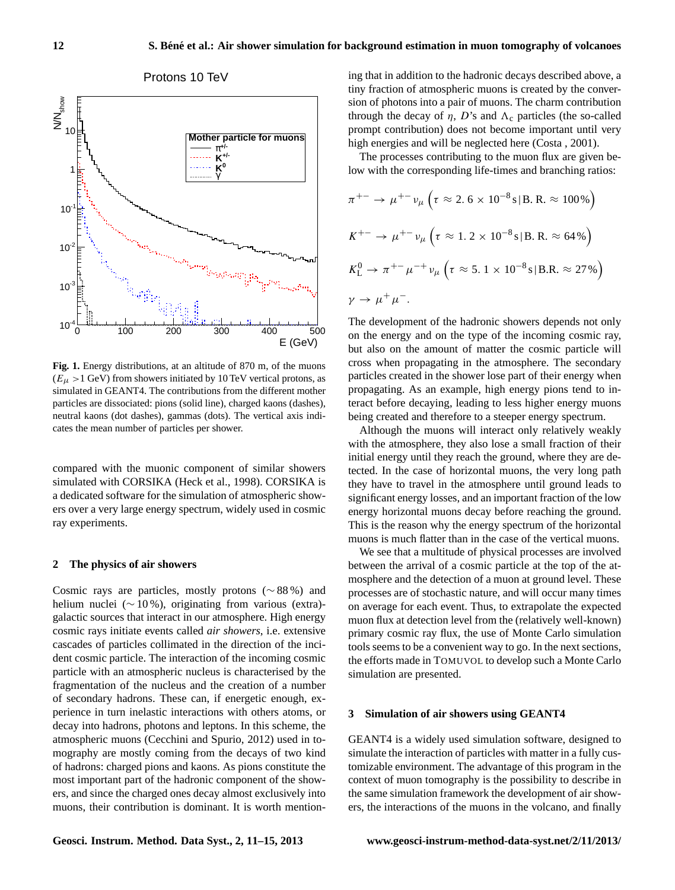

Protons 10 TeV

<span id="page-1-0"></span>**Fig. 1.** Energy distributions, at an altitude of 870 m, of the muons  $(E<sub>u</sub> > 1 \text{ GeV})$  from showers initiated by 10 TeV vertical protons, as simulated in GEANT4. The contributions from the different mother particles are dissociated: pions (solid line), charged kaons (dashes), neutral kaons (dot dashes), gammas (dots). The vertical axis indicates the mean number of particles per shower.

compared with the muonic component of similar showers simulated with CORSIKA [\(Heck et al.,](#page-4-0) [1998\)](#page-4-0). CORSIKA is a dedicated software for the simulation of atmospheric showers over a very large energy spectrum, widely used in cosmic ray experiments.

### **2 The physics of air showers**

Cosmic rays are particles, mostly protons (∼ 88 %) and helium nuclei (∼ 10 %), originating from various (extra) galactic sources that interact in our atmosphere. High energy cosmic rays initiate events called *air showers*, i.e. extensive cascades of particles collimated in the direction of the incident cosmic particle. The interaction of the incoming cosmic particle with an atmospheric nucleus is characterised by the fragmentation of the nucleus and the creation of a number of secondary hadrons. These can, if energetic enough, experience in turn inelastic interactions with others atoms, or decay into hadrons, photons and leptons. In this scheme, the atmospheric muons [\(Cecchini and Spurio,](#page-3-2) [2012\)](#page-3-2) used in tomography are mostly coming from the decays of two kind of hadrons: charged pions and kaons. As pions constitute the most important part of the hadronic component of the showers, and since the charged ones decay almost exclusively into muons, their contribution is dominant. It is worth mentioning that in addition to the hadronic decays described above, a tiny fraction of atmospheric muons is created by the conversion of photons into a pair of muons. The charm contribution through the decay of  $\eta$ , D's and  $\Lambda_c$  particles (the so-called prompt contribution) does not become important until very high energies and will be neglected here [\(Costa](#page-4-1) , [2001\)](#page-4-1).

The processes contributing to the muon flux are given below with the corresponding life-times and branching ratios:

$$
\pi^{+-} \to \mu^{+-} \nu_{\mu} \left( \tau \approx 2.6 \times 10^{-8} \text{ s} \, \text{B. R.} \approx 100\% \right)
$$
\n
$$
K^{+-} \to \mu^{+-} \nu_{\mu} \left( \tau \approx 1.2 \times 10^{-8} \text{ s} \, \text{B. R.} \approx 64\% \right)
$$
\n
$$
K_{\text{L}}^{0} \to \pi^{+-} \mu^{-+} \nu_{\mu} \left( \tau \approx 5.1 \times 10^{-8} \text{ s} \, \text{B. R.} \approx 27\% \right)
$$
\n
$$
\gamma \to \mu^{+} \mu^{-}.
$$

The development of the hadronic showers depends not only on the energy and on the type of the incoming cosmic ray, but also on the amount of matter the cosmic particle will cross when propagating in the atmosphere. The secondary particles created in the shower lose part of their energy when propagating. As an example, high energy pions tend to interact before decaying, leading to less higher energy muons being created and therefore to a steeper energy spectrum.

Although the muons will interact only relatively weakly with the atmosphere, they also lose a small fraction of their initial energy until they reach the ground, where they are detected. In the case of horizontal muons, the very long path they have to travel in the atmosphere until ground leads to significant energy losses, and an important fraction of the low energy horizontal muons decay before reaching the ground. This is the reason why the energy spectrum of the horizontal muons is much flatter than in the case of the vertical muons.

We see that a multitude of physical processes are involved between the arrival of a cosmic particle at the top of the atmosphere and the detection of a muon at ground level. These processes are of stochastic nature, and will occur many times on average for each event. Thus, to extrapolate the expected muon flux at detection level from the (relatively well-known) primary cosmic ray flux, the use of Monte Carlo simulation tools seems to be a convenient way to go. In the next sections, the efforts made in TOMUVOL to develop such a Monte Carlo simulation are presented.

### **3 Simulation of air showers using GEANT4**

GEANT4 is a widely used simulation software, designed to simulate the interaction of particles with matter in a fully customizable environment. The advantage of this program in the context of muon tomography is the possibility to describe in the same simulation framework the development of air showers, the interactions of the muons in the volcano, and finally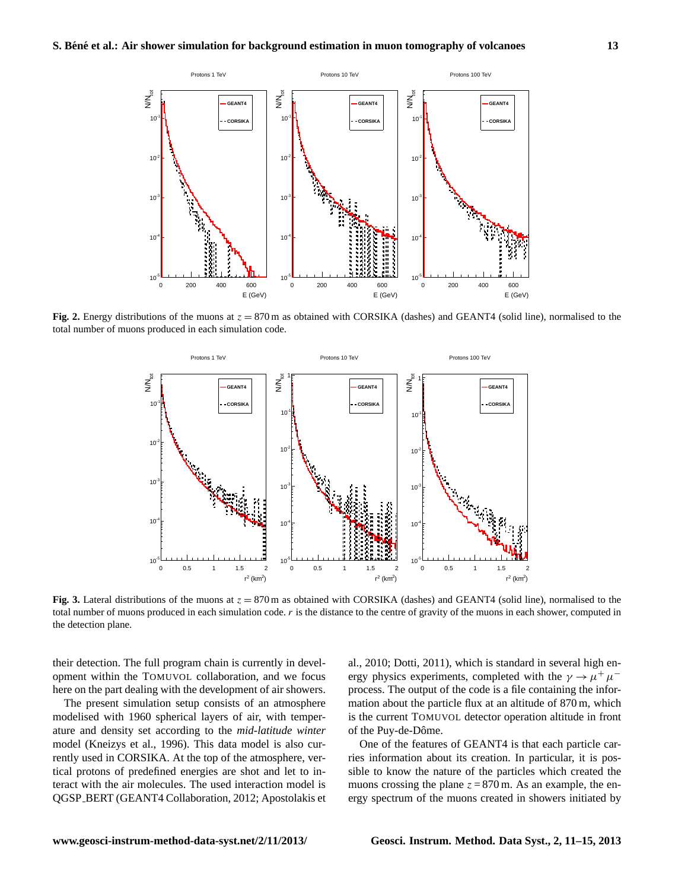

<span id="page-2-0"></span>**Fig. 2.** Energy distributions of the muons at  $z = 870$  m as obtained with CORSIKA (dashes) and GEANT4 (solid line), normalised to the total number of muons produced in each simulation code.



<span id="page-2-1"></span>**Fig. 3.** Lateral distributions of the muons at  $z = 870$  m as obtained with CORSIKA (dashes) and GEANT4 (solid line), normalised to the total number of muons produced in each simulation code.  $r$  is the distance to the centre of gravity of the muons in each shower, computed in the detection plane.

their detection. The full program chain is currently in development within the TOMUVOL collaboration, and we focus here on the part dealing with the development of air showers.

The present simulation setup consists of an atmosphere modelised with 1960 spherical layers of air, with temperature and density set according to the *mid-latitude winter* model [\(Kneizys et al.,](#page-4-2) [1996\)](#page-4-2). This data model is also currently used in CORSIKA. At the top of the atmosphere, vertical protons of predefined energies are shot and let to interact with the air molecules. The used interaction model is QGSP BERT [\(GEANT4 Collaboration,](#page-4-3) [2012;](#page-4-3) [Apostolakis et](#page-3-3) [al.,](#page-3-3) [2010;](#page-3-3) [Dotti,](#page-4-4) [2011\)](#page-4-4), which is standard in several high energy physics experiments, completed with the  $\gamma \rightarrow \mu^+ \mu^$ process. The output of the code is a file containing the information about the particle flux at an altitude of 870 m, which is the current TOMUVOL detector operation altitude in front of the Puy-de-Dôme.

One of the features of GEANT4 is that each particle carries information about its creation. In particular, it is possible to know the nature of the particles which created the muons crossing the plane  $z = 870$  m. As an example, the energy spectrum of the muons created in showers initiated by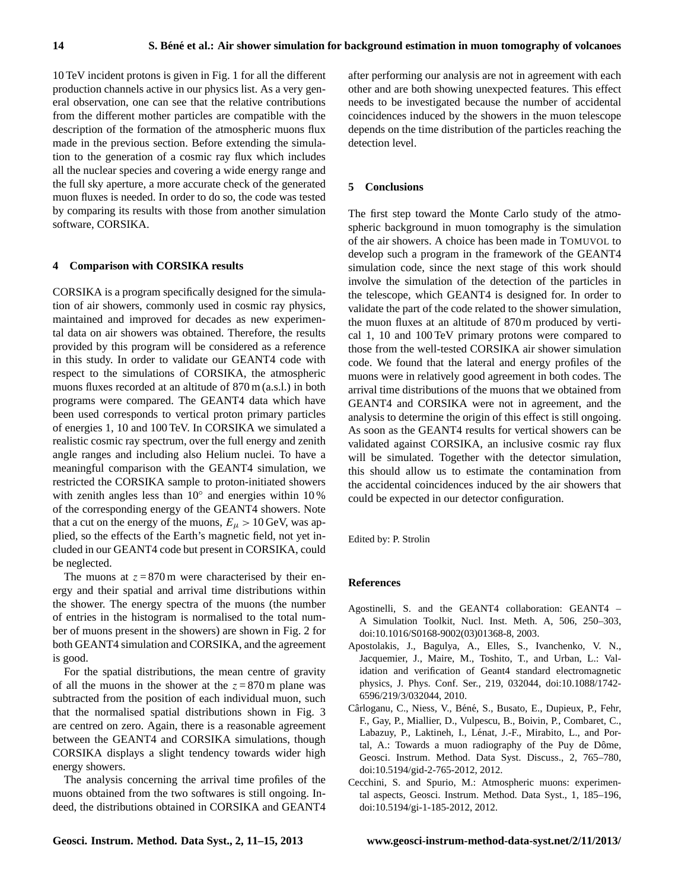10 TeV incident protons is given in Fig. [1](#page-1-0) for all the different production channels active in our physics list. As a very general observation, one can see that the relative contributions from the different mother particles are compatible with the description of the formation of the atmospheric muons flux made in the previous section. Before extending the simulation to the generation of a cosmic ray flux which includes all the nuclear species and covering a wide energy range and the full sky aperture, a more accurate check of the generated muon fluxes is needed. In order to do so, the code was tested by comparing its results with those from another simulation software, CORSIKA.

#### **4 Comparison with CORSIKA results**

CORSIKA is a program specifically designed for the simulation of air showers, commonly used in cosmic ray physics, maintained and improved for decades as new experimental data on air showers was obtained. Therefore, the results provided by this program will be considered as a reference in this study. In order to validate our GEANT4 code with respect to the simulations of CORSIKA, the atmospheric muons fluxes recorded at an altitude of 870 m (a.s.l.) in both programs were compared. The GEANT4 data which have been used corresponds to vertical proton primary particles of energies 1, 10 and 100 TeV. In CORSIKA we simulated a realistic cosmic ray spectrum, over the full energy and zenith angle ranges and including also Helium nuclei. To have a meaningful comparison with the GEANT4 simulation, we restricted the CORSIKA sample to proton-initiated showers with zenith angles less than 10° and energies within 10 % of the corresponding energy of the GEANT4 showers. Note that a cut on the energy of the muons,  $E_{\mu} > 10$  GeV, was applied, so the effects of the Earth's magnetic field, not yet included in our GEANT4 code but present in CORSIKA, could be neglected.

The muons at  $z = 870$  m were characterised by their energy and their spatial and arrival time distributions within the shower. The energy spectra of the muons (the number of entries in the histogram is normalised to the total number of muons present in the showers) are shown in Fig. [2](#page-2-0) for both GEANT4 simulation and CORSIKA, and the agreement is good.

For the spatial distributions, the mean centre of gravity of all the muons in the shower at the  $z = 870$  m plane was subtracted from the position of each individual muon, such that the normalised spatial distributions shown in Fig. [3](#page-2-1) are centred on zero. Again, there is a reasonable agreement between the GEANT4 and CORSIKA simulations, though CORSIKA displays a slight tendency towards wider high energy showers.

The analysis concerning the arrival time profiles of the muons obtained from the two softwares is still ongoing. Indeed, the distributions obtained in CORSIKA and GEANT4 after performing our analysis are not in agreement with each other and are both showing unexpected features. This effect needs to be investigated because the number of accidental coincidences induced by the showers in the muon telescope depends on the time distribution of the particles reaching the detection level.

#### **5 Conclusions**

The first step toward the Monte Carlo study of the atmospheric background in muon tomography is the simulation of the air showers. A choice has been made in TOMUVOL to develop such a program in the framework of the GEANT4 simulation code, since the next stage of this work should involve the simulation of the detection of the particles in the telescope, which GEANT4 is designed for. In order to validate the part of the code related to the shower simulation, the muon fluxes at an altitude of 870 m produced by vertical 1, 10 and 100 TeV primary protons were compared to those from the well-tested CORSIKA air shower simulation code. We found that the lateral and energy profiles of the muons were in relatively good agreement in both codes. The arrival time distributions of the muons that we obtained from GEANT4 and CORSIKA were not in agreement, and the analysis to determine the origin of this effect is still ongoing. As soon as the GEANT4 results for vertical showers can be validated against CORSIKA, an inclusive cosmic ray flux will be simulated. Together with the detector simulation, this should allow us to estimate the contamination from the accidental coincidences induced by the air showers that could be expected in our detector configuration.

Edited by: P. Strolin

### **References**

- <span id="page-3-1"></span>Agostinelli, S. and the GEANT4 collaboration: GEANT4 – A Simulation Toolkit, Nucl. Inst. Meth. A, 506, 250–303, [doi:10.1016/S0168-9002\(03\)01368-8,](http://dx.doi.org/10.1016/S0168-9002(03)01368-8) 2003.
- <span id="page-3-3"></span>Apostolakis, J., Bagulya, A., Elles, S., Ivanchenko, V. N., Jacquemier, J., Maire, M., Toshito, T., and Urban, L.: Validation and verification of Geant4 standard electromagnetic physics, J. Phys. Conf. Ser., 219, 032044, [doi:10.1088/1742-](http://dx.doi.org/10.1088/1742-6596/219/3/032044) [6596/219/3/032044,](http://dx.doi.org/10.1088/1742-6596/219/3/032044) 2010.
- <span id="page-3-0"></span>Cârloganu, C., Niess, V., Béné, S., Busato, E., Dupieux, P., Fehr, F., Gay, P., Miallier, D., Vulpescu, B., Boivin, P., Combaret, C., Labazuy, P., Laktineh, I., Lénat, J.-F., Mirabito, L., and Portal, A.: Towards a muon radiography of the Puy de Dôme, Geosci. Instrum. Method. Data Syst. Discuss., 2, 765–780, [doi:10.5194/gid-2-765-2012,](http://dx.doi.org/10.5194/gid-2-765-2012) 2012.
- <span id="page-3-2"></span>Cecchini, S. and Spurio, M.: Atmospheric muons: experimental aspects, Geosci. Instrum. Method. Data Syst., 1, 185–196, [doi:10.5194/gi-1-185-2012,](http://dx.doi.org/10.5194/gi-1-185-2012) 2012.